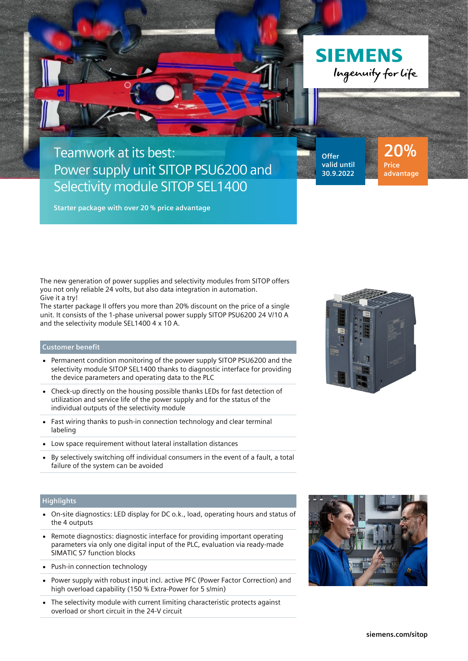



## Teamwork at its best: Power supply unit SITOP PSU6200 and Selectivity module SITOP SEL1400

**Offer valid until 30.9.2022**

**20% Price advantage**

**Starter package with over 20 % price advantage**

The new generation of power supplies and selectivity modules from SITOP offers you not only reliable 24 volts, but also data integration in automation. Give it a try!

The starter package II offers you more than 20% discount on the price of a single unit. It consists of the 1-phase universal power supply SITOP PSU6200 24 V/10 A and the selectivity module SEL1400 4 x 10 A.

## **Customer benefit**

- Permanent condition monitoring of the power supply SITOP PSU6200 and the selectivity module SITOP SEL1400 thanks to diagnostic interface for providing the device parameters and operating data to the PLC
- Check-up directly on the housing possible thanks LEDs for fast detection of utilization and service life of the power supply and for the status of the individual outputs of the selectivity module
- Fast wiring thanks to push-in connection technology and clear terminal labeling
- Low space requirement without lateral installation distances
- By selectively switching off individual consumers in the event of a fault, a total failure of the system can be avoided

## **Highlights**

- On-site diagnostics: LED display for DC o.k., load, operating hours and status of the 4 outputs
- Remote diagnostics: diagnostic interface for providing important operating parameters via only one digital input of the PLC, evaluation via ready-made SIMATIC S7 function blocks
- Push-in connection technology
- Power supply with robust input incl. active PFC (Power Factor Correction) and high overload capability (150 % Extra-Power for 5 s/min)
- The selectivity module with current limiting characteristic protects against overload or short circuit in the 24-V circuit